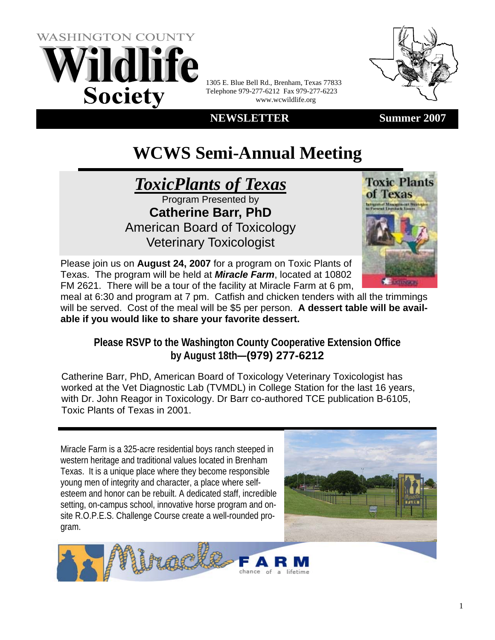

1305 E. Blue Bell Rd., Brenham, Texas 77833 Telephone 979-277-6212 Fax 979-277-6223 www.wcwildlife.org





# **WCWS Semi-Annual Meeting**



American Board of Toxicology Veterinary Toxicologist



Please join us on **August 24, 2007** for a program on Toxic Plants of Texas. The program will be held at *Miracle Farm*, located at 10802 FM 2621. There will be a tour of the facility at Miracle Farm at 6 pm,

meal at 6:30 and program at 7 pm. Catfish and chicken tenders with all the trimmings will be served. Cost of the meal will be \$5 per person. **A dessert table will be available if you would like to share your favorite dessert.** 

## **Please RSVP to the Washington County Cooperative Extension Office by August 18th—(979) 277-6212**

Catherine Barr, PhD, American Board of Toxicology Veterinary Toxicologist has worked at the Vet Diagnostic Lab (TVMDL) in College Station for the last 16 years, with Dr. John Reagor in Toxicology. Dr Barr co-authored TCE publication B-6105, Toxic Plants of Texas in 2001.

Miracle Farm is a 325-acre residential boys ranch steeped in western heritage and traditional values located in Brenham Texas. It is a unique place where they become responsible young men of integrity and character, a place where selfesteem and honor can be rebuilt. A dedicated staff, incredible setting, on-campus school, innovative horse program and onsite R.O.P.E.S. Challenge Course create a well-rounded program.



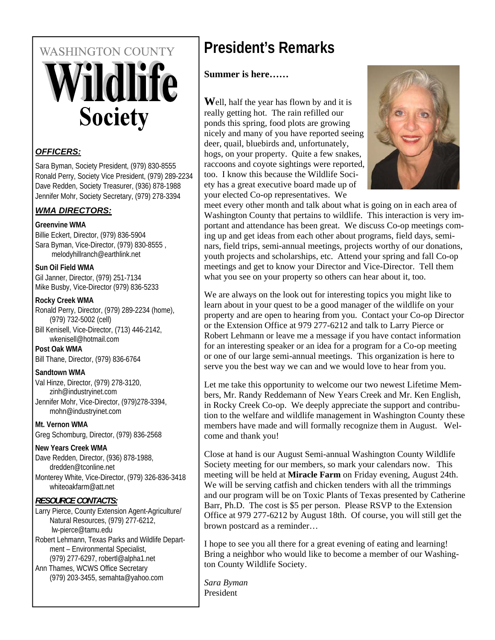# **WASHINGTON COUNTY ildlife Society**

## *OFFICERS:*

Sara Byman, Society President, (979) 830-8555 Ronald Perry, Society Vice President, (979) 289-2234 Dave Redden, Society Treasurer, (936) 878-1988 Jennifer Mohr, Society Secretary, (979) 278-3394

## *WMA DIRECTORS:*

#### **Greenvine WMA**

Billie Eckert, Director, (979) 836-5904 Sara Byman, Vice-Director, (979) 830-8555 , melodyhillranch@earthlink.net

#### **Sun Oil Field WMA**

Gil Janner, Director, (979) 251-7134 Mike Busby, Vice-Director (979) 836-5233

#### **Rocky Creek WMA**

Ronald Perry, Director, (979) 289-2234 (home), (979) 732-5002 (cell)

Bill Kenisell, Vice-Director, (713) 446-2142, wkenisell@hotmail.com

**Post Oak WMA** Bill Thane, Director, (979) 836-6764

#### **Sandtown WMA**

Val Hinze, Director, (979) 278-3120, zinh@industryinet.com Jennifer Mohr, Vice-Director, (979)278-3394, mohn@industryinet.com

**Mt. Vernon WMA**  Greg Schomburg, Director, (979) 836-2568

## **New Years Creek WMA**

Dave Redden, Director, (936) 878-1988, dredden@tconline.net Monterey White, Vice-Director, (979) 326-836-3418 whiteoakfarm@att.net

## *RESOURCE CONTACTS:*

Larry Pierce, County Extension Agent-Agriculture/ Natural Resources, (979) 277-6212, lw-pierce@tamu.edu

Robert Lehmann, Texas Parks and Wildlife Department – Environmental Specialist, (979) 277-6297, robertl@alpha1.net

Ann Thames, WCWS Office Secretary (979) 203-3455, semahta@yahoo.com

# **President's Remarks**

## **Summer is here……**

**W**ell, half the year has flown by and it is really getting hot. The rain refilled our ponds this spring, food plots are growing nicely and many of you have reported seeing deer, quail, bluebirds and, unfortunately, hogs, on your property. Quite a few snakes, raccoons and coyote sightings were reported, too. I know this because the Wildlife Society has a great executive board made up of your elected Co-op representatives. We



meet every other month and talk about what is going on in each area of Washington County that pertains to wildlife. This interaction is very important and attendance has been great. We discuss Co-op meetings coming up and get ideas from each other about programs, field days, seminars, field trips, semi-annual meetings, projects worthy of our donations, youth projects and scholarships, etc. Attend your spring and fall Co-op meetings and get to know your Director and Vice-Director. Tell them what you see on your property so others can hear about it, too.

We are always on the look out for interesting topics you might like to learn about in your quest to be a good manager of the wildlife on your property and are open to hearing from you. Contact your Co-op Director or the Extension Office at 979 277-6212 and talk to Larry Pierce or Robert Lehmann or leave me a message if you have contact information for an interesting speaker or an idea for a program for a Co-op meeting or one of our large semi-annual meetings. This organization is here to serve you the best way we can and we would love to hear from you.

Let me take this opportunity to welcome our two newest Lifetime Members, Mr. Randy Reddemann of New Years Creek and Mr. Ken English, in Rocky Creek Co-op. We deeply appreciate the support and contribution to the welfare and wildlife management in Washington County these members have made and will formally recognize them in August. Welcome and thank you!

Close at hand is our August Semi-annual Washington County Wildlife Society meeting for our members, so mark your calendars now. This meeting will be held at **Miracle Farm** on Friday evening, August 24th. We will be serving catfish and chicken tenders with all the trimmings and our program will be on Toxic Plants of Texas presented by Catherine Barr, Ph.D. The cost is \$5 per person. Please RSVP to the Extension Office at 979 277-6212 by August 18th. Of course, you will still get the brown postcard as a reminder…

I hope to see you all there for a great evening of eating and learning! Bring a neighbor who would like to become a member of our Washington County Wildlife Society.

*Sara Byman* President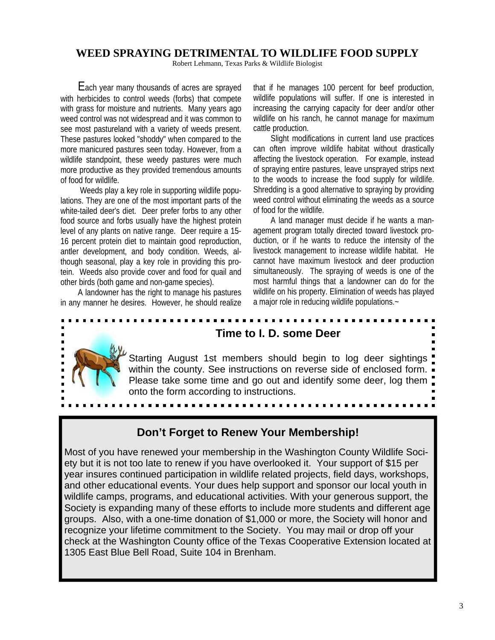## **WEED SPRAYING DETRIMENTAL TO WILDLIFE FOOD SUPPLY**

Robert Lehmann, Texas Parks & Wildlife Biologist

Each year many thousands of acres are sprayed with herbicides to control weeds (forbs) that compete with grass for moisture and nutrients. Many years ago weed control was not widespread and it was common to see most pastureland with a variety of weeds present. These pastures looked "shoddy" when compared to the more manicured pastures seen today. However, from a wildlife standpoint, these weedy pastures were much more productive as they provided tremendous amounts of food for wildlife.

 Weeds play a key role in supporting wildlife populations. They are one of the most important parts of the white-tailed deer's diet. Deer prefer forbs to any other food source and forbs usually have the highest protein level of any plants on native range. Deer require a 15- 16 percent protein diet to maintain good reproduction, antler development, and body condition. Weeds, although seasonal, play a key role in providing this protein. Weeds also provide cover and food for quail and other birds (both game and non-game species).

A landowner has the right to manage his pastures in any manner he desires. However, he should realize that if he manages 100 percent for beef production, wildlife populations will suffer. If one is interested in increasing the carrying capacity for deer and/or other wildlife on his ranch, he cannot manage for maximum cattle production.

Slight modifications in current land use practices can often improve wildlife habitat without drastically affecting the livestock operation. For example, instead of spraying entire pastures, leave unsprayed strips next to the woods to increase the food supply for wildlife. Shredding is a good alternative to spraying by providing weed control without eliminating the weeds as a source of food for the wildlife.

A land manager must decide if he wants a management program totally directed toward livestock production, or if he wants to reduce the intensity of the livestock management to increase wildlife habitat. He cannot have maximum livestock and deer production simultaneously. The spraying of weeds is one of the most harmful things that a landowner can do for the wildlife on his property. Elimination of weeds has played a major role in reducing wildlife populations.~



## **Time to I. D. some Deer**

Starting August 1st members should begin to log deer sightings within the county. See instructions on reverse side of enclosed form. Please take some time and go out and identify some deer, log them onto the form according to instructions.

## **Don't Forget to Renew Your Membership!**

Most of you have renewed your membership in the Washington County Wildlife Society but it is not too late to renew if you have overlooked it. Your support of \$15 per year insures continued participation in wildlife related projects, field days, workshops, and other educational events. Your dues help support and sponsor our local youth in wildlife camps, programs, and educational activities. With your generous support, the Society is expanding many of these efforts to include more students and different age groups. Also, with a one-time donation of \$1,000 or more, the Society will honor and recognize your lifetime commitment to the Society. You may mail or drop off your check at the Washington County office of the Texas Cooperative Extension located at 1305 East Blue Bell Road, Suite 104 in Brenham.